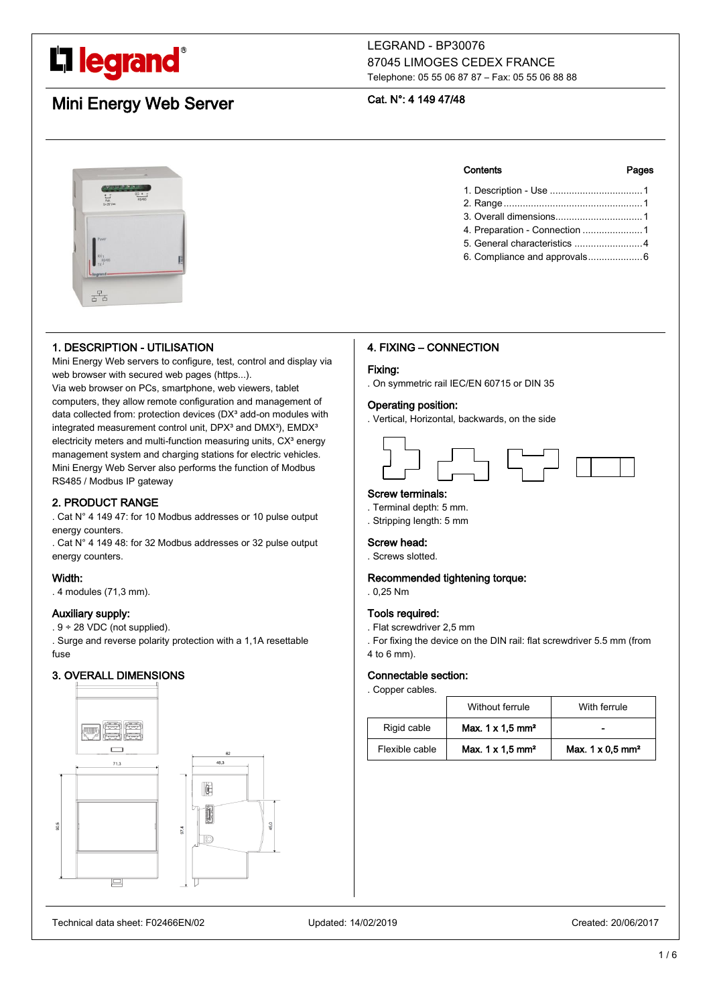

# LEGRAND - BP30076 87045 LIMOGES CEDEX FRANCE Telephone: 05 55 06 87 87 – Fax: 05 55 06 88 88

# Mini Energy Web Server

# Cat. N°: 4 149 47/48



# 1. DESCRIPTION - UTILISATION

Mini Energy Web servers to configure, test, control and display via web browser with secured web pages (https...).

Via web browser on PCs, smartphone, web viewers, tablet computers, they allow remote configuration and management of data collected from: protection devices (DX<sup>3</sup> add-on modules with integrated measurement control unit,  $DPX<sup>3</sup>$  and  $DMX<sup>3</sup>$ ),  $EMDX<sup>3</sup>$ electricity meters and multi-function measuring units, CX<sup>3</sup> energy management system and charging stations for electric vehicles. Mini Energy Web Server also performs the function of Modbus RS485 / Modbus IP gateway

# 2. PRODUCT RANGE

. Cat N° 4 149 47: for 10 Modbus addresses or 10 pulse output energy counters.

. Cat N° 4 149 48: for 32 Modbus addresses or 32 pulse output energy counters.

### Width:

. 4 modules (71,3 mm).

# Auxiliary supply:

 $.9 \div 28$  VDC (not supplied).

. Surge and reverse polarity protection with a 1,1A resettable fuse

# 3. OVERALL DIMENSIONS







| 4. Preparation - Connection  1 |  |
|--------------------------------|--|
|                                |  |

5. General characteristics .........................4 6. Compliance and approvals....................6

# 4. FIXING – CONNECTION

### Fixing:

. On symmetric rail IEC/EN 60715 or DIN 35

### Operating position:

. Vertical, Horizontal, backwards, on the side



# Screw terminals:

- . Terminal depth: 5 mm.
- . Stripping length: 5 mm

#### Screw head:

. Screws slotted.

### Recommended tightening torque:

. 0,25 Nm

#### Tools required:

- . Flat screwdriver 2,5 mm
- . For fixing the device on the DIN rail: flat screwdriver 5.5 mm (from 4 to 6 mm).

#### Connectable section:

. Copper cables.

|                | Without ferrule                     | With ferrule                        |
|----------------|-------------------------------------|-------------------------------------|
| Rigid cable    | Max. $1 \times 1.5$ mm <sup>2</sup> |                                     |
| Flexible cable | Max. $1 \times 1.5$ mm <sup>2</sup> | Max. $1 \times 0.5$ mm <sup>2</sup> |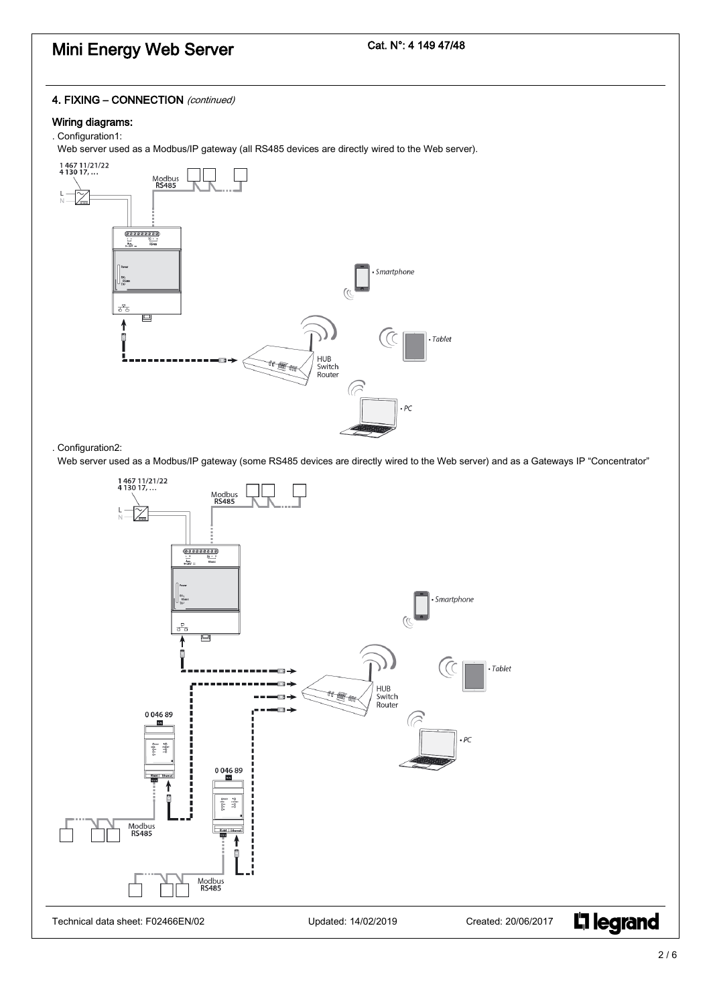# Cat. N°: 4 149 47/48

# 4. FIXING - CONNECTION (continued)

# Wiring diagrams:

# . Configuration1:

Web server used as a Modbus/IP gateway (all RS485 devices are directly wired to the Web server).



. Configuration2:

Web server used as a Modbus/IP gateway (some RS485 devices are directly wired to the Web server) and as a Gateways IP "Concentrator"

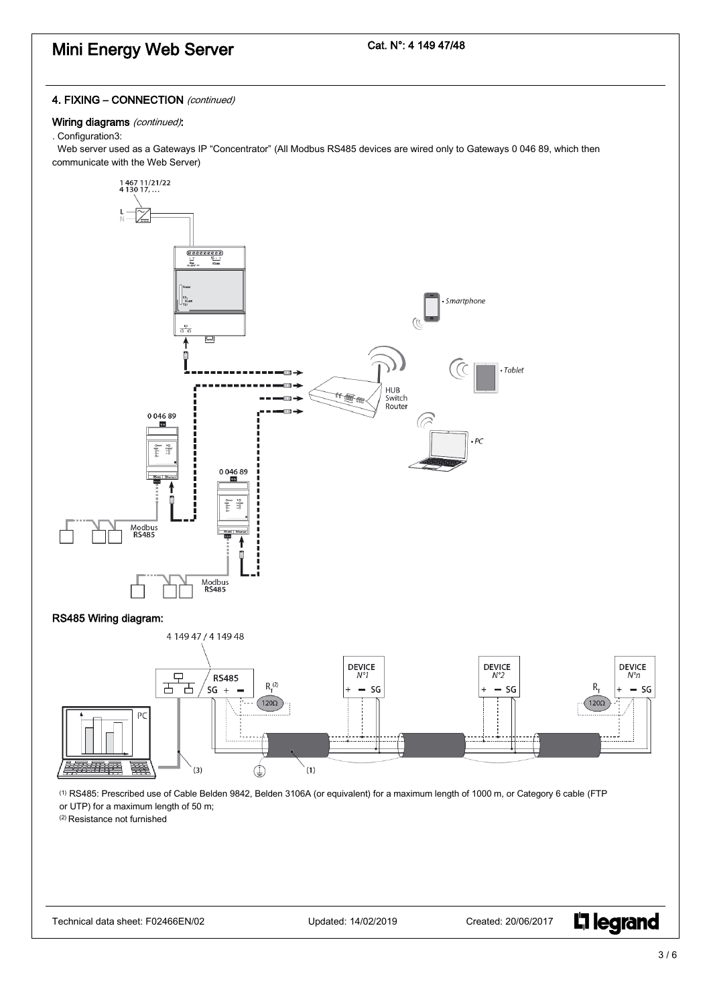# Cat. N°: 4 149 47/48

# 4. FIXING - CONNECTION (continued)

# Wiring diagrams (continued):

### . Configuration3:

 Web server used as a Gateways IP "Concentrator" (All Modbus RS485 devices are wired only to Gateways 0 046 89, which then communicate with the Web Server)



**L'1 legrand**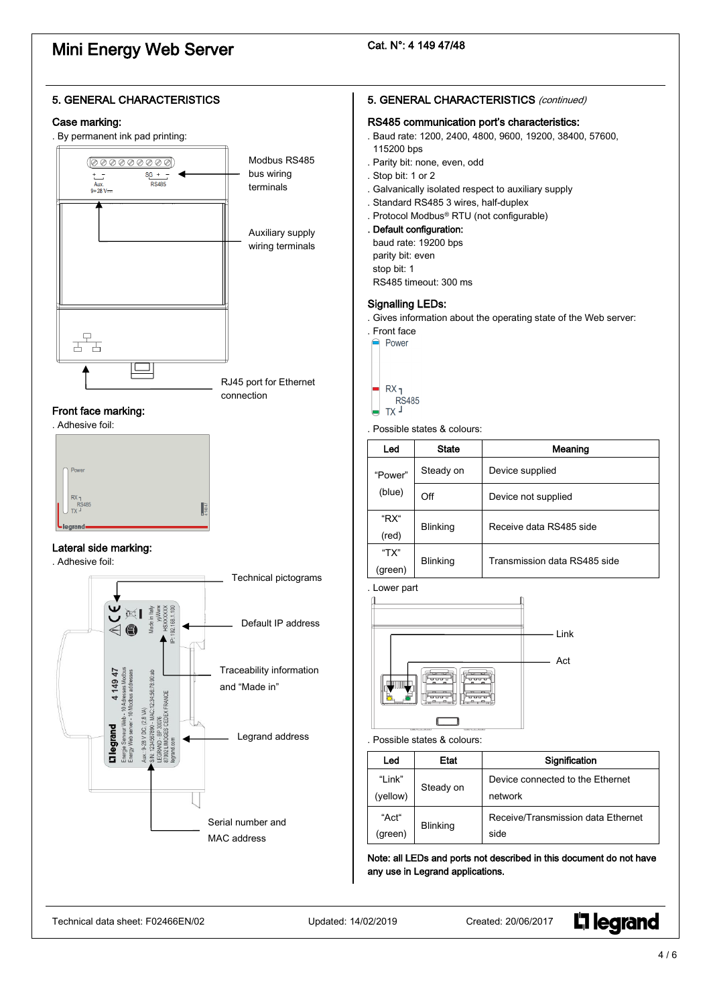# Cat. N°: 4 149 47/48



**L'1 legrand**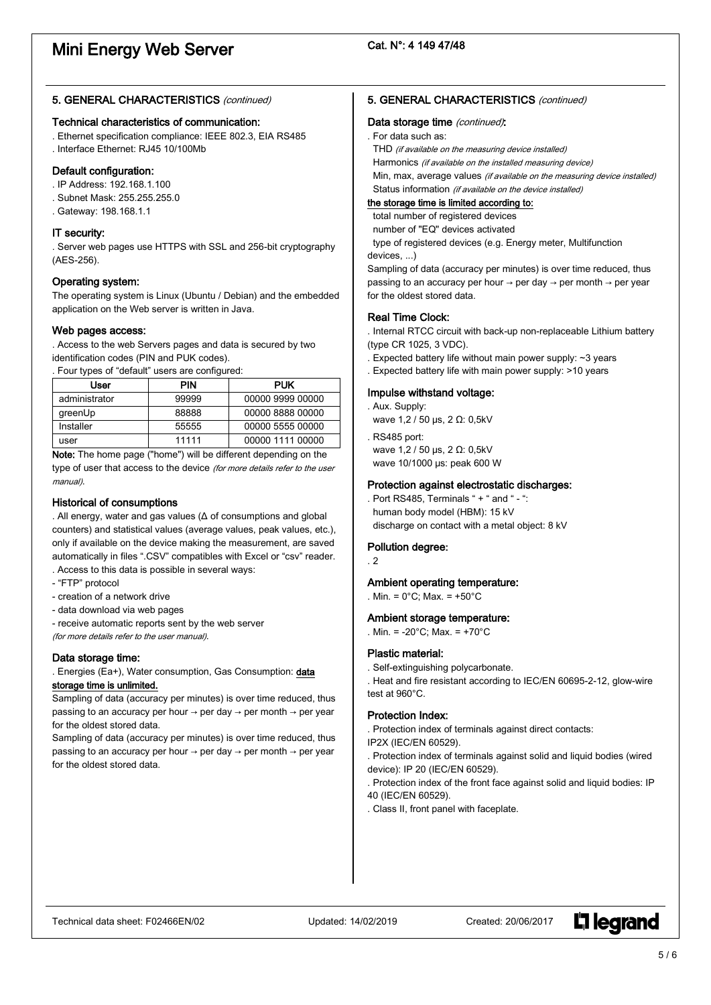# 5. GENERAL CHARACTERISTICS (continued)

#### Technical characteristics of communication:

. Ethernet specification compliance: IEEE 802.3, EIA RS485 . Interface Ethernet: RJ45 10/100Mb

#### Default configuration:

- . IP Address: 192.168.1.100
- . Subnet Mask: 255.255.255.0
- . Gateway: 198.168.1.1

#### IT security:

. Server web pages use HTTPS with SSL and 256-bit cryptography (AES-256).

# Operating system:

The operating system is Linux (Ubuntu / Debian) and the embedded application on the Web server is written in Java.

#### Web pages access:

. Access to the web Servers pages and data is secured by two identification codes (PIN and PUK codes).

. Four types of "default" users are configured:

| User          | <b>PIN</b> | <b>PUK</b>       |
|---------------|------------|------------------|
| administrator | 99999      | 00000 9999 00000 |
| greenUp       | 88888      | 00000 8888 00000 |
| Installer     | 55555      | 00000 5555 00000 |
| user          | 11111      | 00000 1111 00000 |

Note: The home page ("home") will be different depending on the type of user that access to the device (for more details refer to the user manual).

### Historical of consumptions

. All energy, water and gas values (Δ of consumptions and global counters) and statistical values (average values, peak values, etc.), only if available on the device making the measurement, are saved automatically in files ".CSV" compatibles with Excel or "csv" reader. . Access to this data is possible in several ways:

- "FTP" protocol
- creation of a network drive
- data download via web pages
- receive automatic reports sent by the web server

(for more details refer to the user manual).

### Data storage time:

. Energies (Ea+), Water consumption, Gas Consumption: data

# storage time is unlimited.

Sampling of data (accuracy per minutes) is over time reduced, thus passing to an accuracy per hour  $\rightarrow$  per day  $\rightarrow$  per month  $\rightarrow$  per year for the oldest stored data.

Sampling of data (accuracy per minutes) is over time reduced, thus passing to an accuracy per hour  $\rightarrow$  per day  $\rightarrow$  per month  $\rightarrow$  per year for the oldest stored data.

#### 5. GENERAL CHARACTERISTICS (continued)

#### Data storage time (continued):

. For data such as:

THD (if available on the measuring device installed)

Harmonics (if available on the installed measuring device)

Min, max, average values (if available on the measuring device installed) Status information (if available on the device installed)

#### the storage time is limited according to:

total number of registered devices

number of "EQ" devices activated

 type of registered devices (e.g. Energy meter, Multifunction devices, ...)

Sampling of data (accuracy per minutes) is over time reduced, thus passing to an accuracy per hour  $\rightarrow$  per day  $\rightarrow$  per month  $\rightarrow$  per year for the oldest stored data.

#### Real Time Clock:

. Internal RTCC circuit with back-up non-replaceable Lithium battery (type CR 1025, 3 VDC).

- . Expected battery life without main power supply: ~3 years
- . Expected battery life with main power supply: >10 years

# Impulse withstand voltage:

. Aux. Supply:

wave 1,2 / 50 μs, 2 Ω: 0,5kV

. RS485 port: wave 1,2 / 50 μs, 2 Ω: 0,5kV wave 10/1000 μs: peak 600 W

#### Protection against electrostatic discharges:

. Port RS485, Terminals " + " and " - ": human body model (HBM): 15 kV discharge on contact with a metal object: 8 kV

#### Pollution degree:

. 2

#### Ambient operating temperature:

. Min. = 0°C; Max. = +50°C

#### Ambient storage temperature:

. Min. = -20°C; Max. = +70°C

#### Plastic material:

. Self-extinguishing polycarbonate.

. Heat and fire resistant according to IEC/EN 60695-2-12, glow-wire test at 960°C.

#### Protection Index:

. Protection index of terminals against direct contacts:

- IP2X (IEC/EN 60529). . Protection index of terminals against solid and liquid bodies (wired device): IP 20 (IEC/EN 60529).
- . Protection index of the front face against solid and liquid bodies: IP 40 (IEC/EN 60529).
- . Class II, front panel with faceplate.

**L'1 legrand**